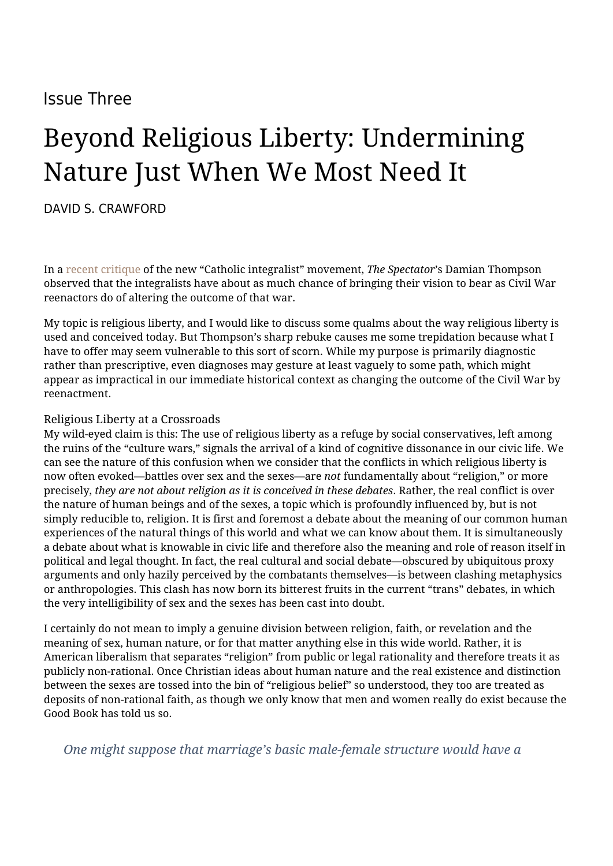# Issue Three

# Beyond Religious Liberty: Undermining Nature Just When We Most Need It

[DAVID S. CRAWFORD](https://humanumreview.com/contributors/david-crawford)

In a [recent critique](https://spectatorworld.com/topic/medieval-fantasists-infiltrated-america-catholic-right-integralists-vermeule/) of the new "Catholic integralist" movement, *The Spectator*'s Damian Thompson observed that the integralists have about as much chance of bringing their vision to bear as Civil War reenactors do of altering the outcome of that war.

My topic is religious liberty, and I would like to discuss some qualms about the way religious liberty is used and conceived today. But Thompson's sharp rebuke causes me some trepidation because what I have to offer may seem vulnerable to this sort of scorn. While my purpose is primarily diagnostic rather than prescriptive, even diagnoses may gesture at least vaguely to some path, which might appear as impractical in our immediate historical context as changing the outcome of the Civil War by reenactment.

## Religious Liberty at a Crossroads

My wild-eyed claim is this: The use of religious liberty as a refuge by social conservatives, left among the ruins of the "culture wars," signals the arrival of a kind of cognitive dissonance in our civic life. We can see the nature of this confusion when we consider that the conflicts in which religious liberty is now often evoked—battles over sex and the sexes—are *not* fundamentally about "religion," or more precisely, *they are not about religion as it is conceived in these debates*. Rather, the real conflict is over the nature of human beings and of the sexes, a topic which is profoundly influenced by, but is not simply reducible to, religion. It is first and foremost a debate about the meaning of our common human experiences of the natural things of this world and what we can know about them. It is simultaneously a debate about what is knowable in civic life and therefore also the meaning and role of reason itself in political and legal thought. In fact, the real cultural and social debate—obscured by ubiquitous proxy arguments and only hazily perceived by the combatants themselves—is between clashing metaphysics or anthropologies. This clash has now born its bitterest fruits in the current "trans" debates, in which the very intelligibility of sex and the sexes has been cast into doubt.

I certainly do not mean to imply a genuine division between religion, faith, or revelation and the meaning of sex, human nature, or for that matter anything else in this wide world. Rather, it is American liberalism that separates "religion" from public or legal rationality and therefore treats it as publicly non-rational. Once Christian ideas about human nature and the real existence and distinction between the sexes are tossed into the bin of "religious belief" so understood, they too are treated as deposits of non-rational faith, as though we only know that men and women really do exist because the Good Book has told us so.

*One might suppose that marriage's basic male-female structure would have a*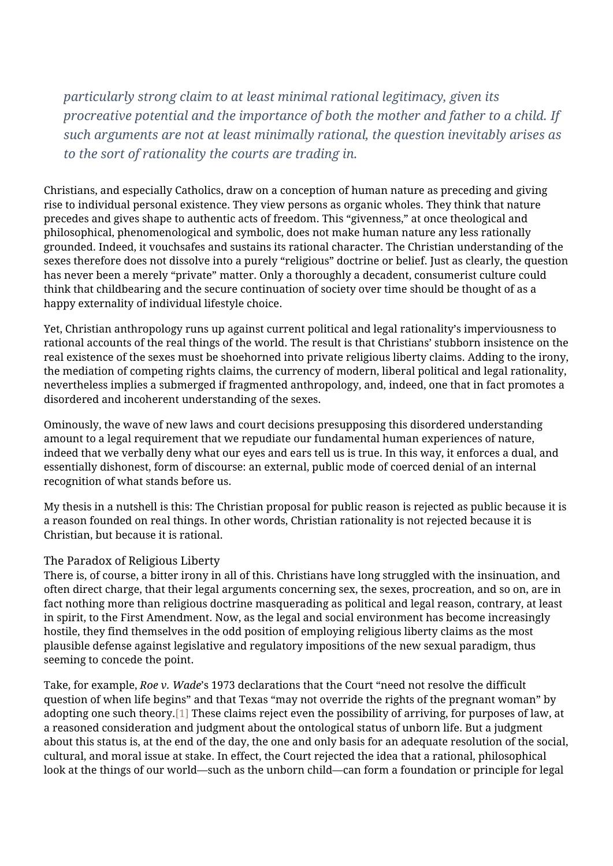*particularly strong claim to at least minimal rational legitimacy, given its procreative potential and the importance of both the mother and father to a child. If such arguments are not at least minimally rational, the question inevitably arises as to the sort of rationality the courts are trading in.*

Christians, and especially Catholics, draw on a conception of human nature as preceding and giving rise to individual personal existence. They view persons as organic wholes. They think that nature precedes and gives shape to authentic acts of freedom. This "givenness," at once theological and philosophical, phenomenological and symbolic, does not make human nature any less rationally grounded. Indeed, it vouchsafes and sustains its rational character. The Christian understanding of the sexes therefore does not dissolve into a purely "religious" doctrine or belief. Just as clearly, the question has never been a merely "private" matter. Only a thoroughly a decadent, consumerist culture could think that childbearing and the secure continuation of society over time should be thought of as a happy externality of individual lifestyle choice.

Yet, Christian anthropology runs up against current political and legal rationality's imperviousness to rational accounts of the real things of the world. The result is that Christians' stubborn insistence on the real existence of the sexes must be shoehorned into private religious liberty claims. Adding to the irony, the mediation of competing rights claims, the currency of modern, liberal political and legal rationality, nevertheless implies a submerged if fragmented anthropology, and, indeed, one that in fact promotes a disordered and incoherent understanding of the sexes.

Ominously, the wave of new laws and court decisions presupposing this disordered understanding amount to a legal requirement that we repudiate our fundamental human experiences of nature, indeed that we verbally deny what our eyes and ears tell us is true. In this way, it enforces a dual, and essentially dishonest, form of discourse: an external, public mode of coerced denial of an internal recognition of what stands before us.

My thesis in a nutshell is this: The Christian proposal for public reason is rejected as public because it is a reason founded on real things. In other words, Christian rationality is not rejected because it is Christian, but because it is rational.

## The Paradox of Religious Liberty

There is, of course, a bitter irony in all of this. Christians have long struggled with the insinuation, and often direct charge, that their legal arguments concerning sex, the sexes, procreation, and so on, are in fact nothing more than religious doctrine masquerading as political and legal reason, contrary, at least in spirit, to the First Amendment. Now, as the legal and social environment has become increasingly hostile, they find themselves in the odd position of employing religious liberty claims as the most plausible defense against legislative and regulatory impositions of the new sexual paradigm, thus seeming to concede the point.

Take, for example, *Roe v. Wade*'s 1973 declarations that the Court "need not resolve the difficult question of when life begins" and that Texas "may not override the rights of the pregnant woman" by adopting one such theory[.\[1\]](#page--1-0) These claims reject even the possibility of arriving, for purposes of law, at a reasoned consideration and judgment about the ontological status of unborn life. But a judgment about this status is, at the end of the day, the one and only basis for an adequate resolution of the social, cultural, and moral issue at stake. In effect, the Court rejected the idea that a rational, philosophical look at the things of our world—such as the unborn child—can form a foundation or principle for legal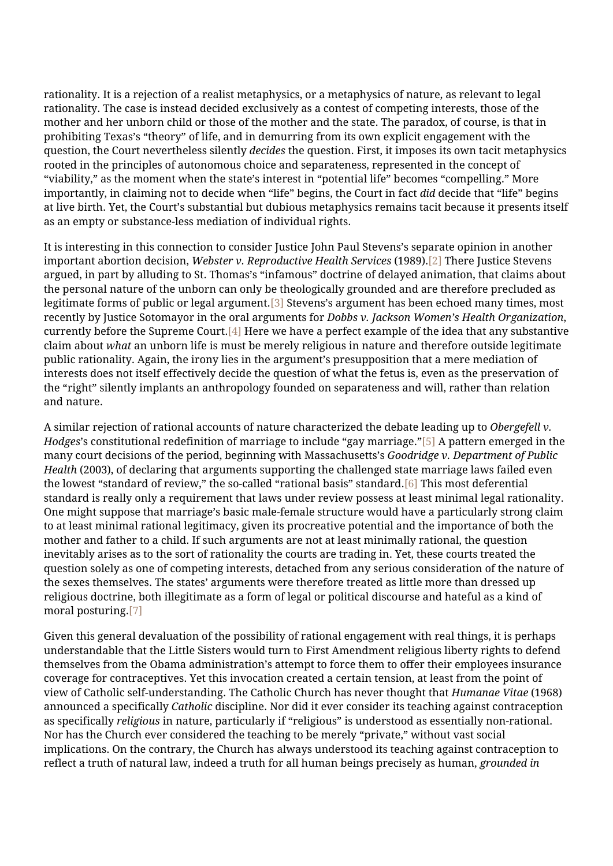rationality. It is a rejection of a realist metaphysics, or a metaphysics of nature, as relevant to legal rationality. The case is instead decided exclusively as a contest of competing interests, those of the mother and her unborn child or those of the mother and the state. The paradox, of course, is that in prohibiting Texas's "theory" of life, and in demurring from its own explicit engagement with the question, the Court nevertheless silently *decides* the question. First, it imposes its own tacit metaphysics rooted in the principles of autonomous choice and separateness, represented in the concept of "viability," as the moment when the state's interest in "potential life" becomes "compelling." More importantly, in claiming not to decide when "life" begins, the Court in fact *did* decide that "life" begins at live birth. Yet, the Court's substantial but dubious metaphysics remains tacit because it presents itself as an empty or substance-less mediation of individual rights.

It is interesting in this connection to consider Justice John Paul Stevens's separate opinion in another important abortion decision, *Webster v. Reproductive Health Services* (1989)[.\[2\]](#page--1-0) There Justice Stevens argued, in part by alluding to St. Thomas's "infamous" doctrine of delayed animation, that claims about the personal nature of the unborn can only be theologically grounded and are therefore precluded as legitimate forms of public or legal argument.[\[3\]](#page--1-0) Stevens's argument has been echoed many times, most recently by Justice Sotomayor in the oral arguments for *Dobbs v. Jackson Women's Health Organization*, currently before the Supreme Court[.\[4\]](#page--1-0) Here we have a perfect example of the idea that any substantive claim about *what* an unborn life is must be merely religious in nature and therefore outside legitimate public rationality. Again, the irony lies in the argument's presupposition that a mere mediation of interests does not itself effectively decide the question of what the fetus is, even as the preservation of the "right" silently implants an anthropology founded on separateness and will, rather than relation and nature.

A similar rejection of rational accounts of nature characterized the debate leading up to *Obergefell v. Hodges*'s constitutional redefinition of marriage to include "gay marriage."[\[5\]](#page--1-0) A pattern emerged in the many court decisions of the period, beginning with Massachusetts's *Goodridge v. Department of Public Health* (2003), of declaring that arguments supporting the challenged state marriage laws failed even the lowest "standard of review," the so-called "rational basis" standard.[\[6\]](#page--1-0) This most deferential standard is really only a requirement that laws under review possess at least minimal legal rationality. One might suppose that marriage's basic male-female structure would have a particularly strong claim to at least minimal rational legitimacy, given its procreative potential and the importance of both the mother and father to a child. If such arguments are not at least minimally rational, the question inevitably arises as to the sort of rationality the courts are trading in. Yet, these courts treated the question solely as one of competing interests, detached from any serious consideration of the nature of the sexes themselves. The states' arguments were therefore treated as little more than dressed up religious doctrine, both illegitimate as a form of legal or political discourse and hateful as a kind of moral posturing[.\[7\]](#page--1-0)

Given this general devaluation of the possibility of rational engagement with real things, it is perhaps understandable that the Little Sisters would turn to First Amendment religious liberty rights to defend themselves from the Obama administration's attempt to force them to offer their employees insurance coverage for contraceptives. Yet this invocation created a certain tension, at least from the point of view of Catholic self-understanding. The Catholic Church has never thought that *Humanae Vitae* (1968) announced a specifically *Catholic* discipline. Nor did it ever consider its teaching against contraception as specifically *religious* in nature, particularly if "religious" is understood as essentially non-rational. Nor has the Church ever considered the teaching to be merely "private," without vast social implications. On the contrary, the Church has always understood its teaching against contraception to reflect a truth of natural law, indeed a truth for all human beings precisely as human, *grounded in*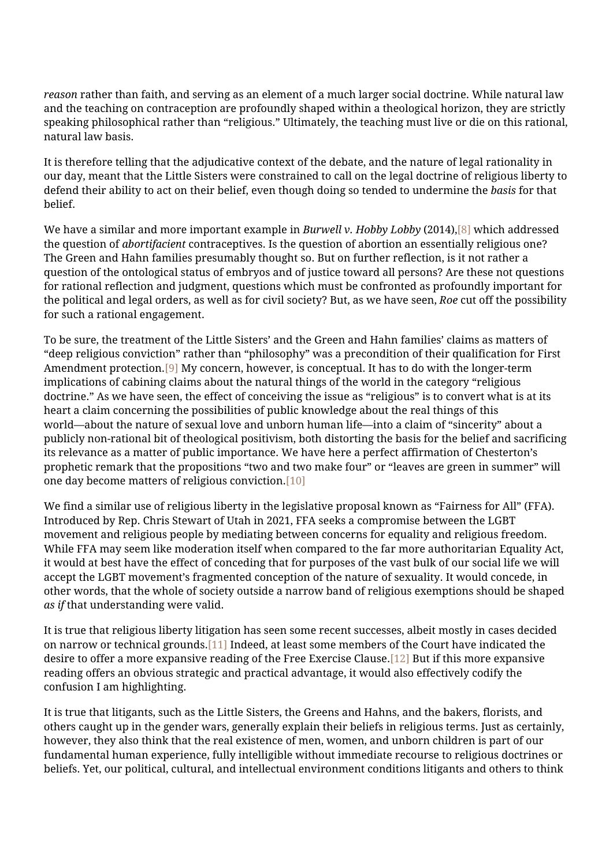*reason* rather than faith, and serving as an element of a much larger social doctrine. While natural law and the teaching on contraception are profoundly shaped within a theological horizon, they are strictly speaking philosophical rather than "religious." Ultimately, the teaching must live or die on this rational, natural law basis.

It is therefore telling that the adjudicative context of the debate, and the nature of legal rationality in our day, meant that the Little Sisters were constrained to call on the legal doctrine of religious liberty to defend their ability to act on their belief, even though doing so tended to undermine the *basis* for that belief.

We have a similar and more important example in *Burwell v. Hobby Lobby* (2014)[,\[8\]](#page--1-0) which addressed the question of *abortifacient* contraceptives. Is the question of abortion an essentially religious one? The Green and Hahn families presumably thought so. But on further reflection, is it not rather a question of the ontological status of embryos and of justice toward all persons? Are these not questions for rational reflection and judgment, questions which must be confronted as profoundly important for the political and legal orders, as well as for civil society? But, as we have seen, *Roe* cut off the possibility for such a rational engagement.

To be sure, the treatment of the Little Sisters' and the Green and Hahn families' claims as matters of "deep religious conviction" rather than "philosophy" was a precondition of their qualification for First Amendment protection[.\[9\]](#page--1-0) My concern, however, is conceptual. It has to do with the longer-term implications of cabining claims about the natural things of the world in the category "religious doctrine." As we have seen, the effect of conceiving the issue as "religious" is to convert what is at its heart a claim concerning the possibilities of public knowledge about the real things of this world—about the nature of sexual love and unborn human life—into a claim of "sincerity" about a publicly non-rational bit of theological positivism, both distorting the basis for the belief and sacrificing its relevance as a matter of public importance. We have here a perfect affirmation of Chesterton's prophetic remark that the propositions "two and two make four" or "leaves are green in summer" will one day become matters of religious conviction.[\[10\]](#page--1-0)

We find a similar use of religious liberty in the legislative proposal known as "Fairness for All" (FFA). Introduced by Rep. Chris Stewart of Utah in 2021, FFA seeks a compromise between the LGBT movement and religious people by mediating between concerns for equality and religious freedom. While FFA may seem like moderation itself when compared to the far more authoritarian Equality Act, it would at best have the effect of conceding that for purposes of the vast bulk of our social life we will accept the LGBT movement's fragmented conception of the nature of sexuality. It would concede, in other words, that the whole of society outside a narrow band of religious exemptions should be shaped *as if* that understanding were valid.

It is true that religious liberty litigation has seen some recent successes, albeit mostly in cases decided on narrow or technical grounds.[\[11\]](#page--1-0) Indeed, at least some members of the Court have indicated the desire to offer a more expansive reading of the Free Exercise Clause[.\[12\]](#page--1-0) But if this more expansive reading offers an obvious strategic and practical advantage, it would also effectively codify the confusion I am highlighting.

It is true that litigants, such as the Little Sisters, the Greens and Hahns, and the bakers, florists, and others caught up in the gender wars, generally explain their beliefs in religious terms. Just as certainly, however, they also think that the real existence of men, women, and unborn children is part of our fundamental human experience, fully intelligible without immediate recourse to religious doctrines or beliefs. Yet, our political, cultural, and intellectual environment conditions litigants and others to think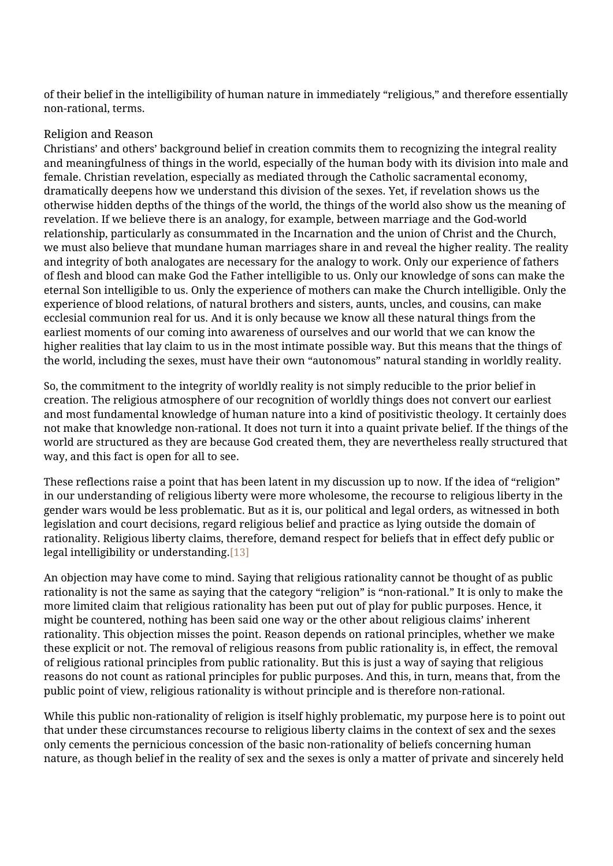of their belief in the intelligibility of human nature in immediately "religious," and therefore essentially non-rational, terms.

#### Religion and Reason

Christians' and others' background belief in creation commits them to recognizing the integral reality and meaningfulness of things in the world, especially of the human body with its division into male and female. Christian revelation, especially as mediated through the Catholic sacramental economy, dramatically deepens how we understand this division of the sexes. Yet, if revelation shows us the otherwise hidden depths of the things of the world, the things of the world also show us the meaning of revelation. If we believe there is an analogy, for example, between marriage and the God-world relationship, particularly as consummated in the Incarnation and the union of Christ and the Church, we must also believe that mundane human marriages share in and reveal the higher reality. The reality and integrity of both analogates are necessary for the analogy to work. Only our experience of fathers of flesh and blood can make God the Father intelligible to us. Only our knowledge of sons can make the eternal Son intelligible to us. Only the experience of mothers can make the Church intelligible. Only the experience of blood relations, of natural brothers and sisters, aunts, uncles, and cousins, can make ecclesial communion real for us. And it is only because we know all these natural things from the earliest moments of our coming into awareness of ourselves and our world that we can know the higher realities that lay claim to us in the most intimate possible way. But this means that the things of the world, including the sexes, must have their own "autonomous" natural standing in worldly reality.

So, the commitment to the integrity of worldly reality is not simply reducible to the prior belief in creation. The religious atmosphere of our recognition of worldly things does not convert our earliest and most fundamental knowledge of human nature into a kind of positivistic theology. It certainly does not make that knowledge non-rational. It does not turn it into a quaint private belief. If the things of the world are structured as they are because God created them, they are nevertheless really structured that way, and this fact is open for all to see.

These reflections raise a point that has been latent in my discussion up to now. If the idea of "religion" in our understanding of religious liberty were more wholesome, the recourse to religious liberty in the gender wars would be less problematic. But as it is, our political and legal orders, as witnessed in both legislation and court decisions, regard religious belief and practice as lying outside the domain of rationality. Religious liberty claims, therefore, demand respect for beliefs that in effect defy public or legal intelligibility or understanding[.\[13\]](#page--1-0)

An objection may have come to mind. Saying that religious rationality cannot be thought of as public rationality is not the same as saying that the category "religion" is "non-rational." It is only to make the more limited claim that religious rationality has been put out of play for public purposes. Hence, it might be countered, nothing has been said one way or the other about religious claims' inherent rationality. This objection misses the point. Reason depends on rational principles, whether we make these explicit or not. The removal of religious reasons from public rationality is, in effect, the removal of religious rational principles from public rationality. But this is just a way of saying that religious reasons do not count as rational principles for public purposes. And this, in turn, means that, from the public point of view, religious rationality is without principle and is therefore non-rational.

While this public non-rationality of religion is itself highly problematic, my purpose here is to point out that under these circumstances recourse to religious liberty claims in the context of sex and the sexes only cements the pernicious concession of the basic non-rationality of beliefs concerning human nature, as though belief in the reality of sex and the sexes is only a matter of private and sincerely held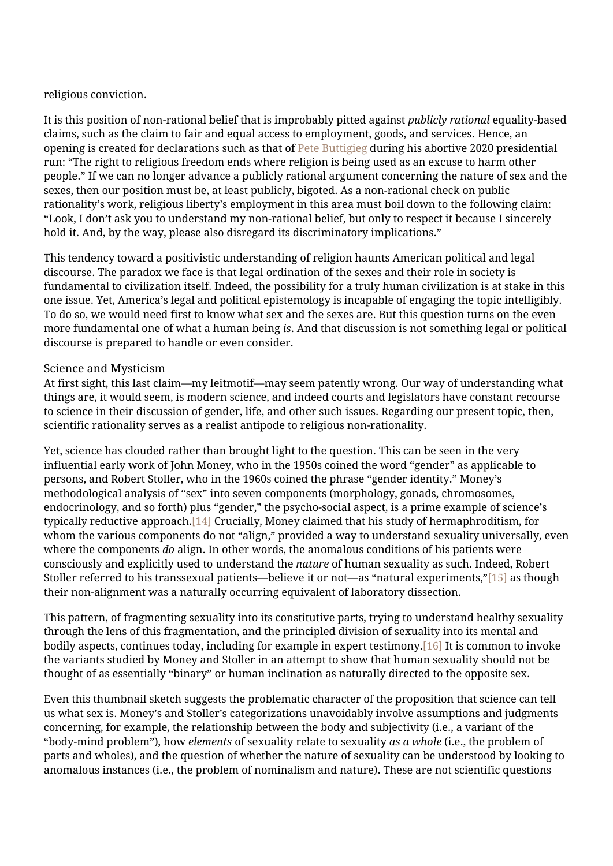#### religious conviction.

It is this position of non-rational belief that is improbably pitted against *publicly rational* equality-based claims, such as the claim to fair and equal access to employment, goods, and services. Hence, an opening is created for declarations such as that of [Pete Buttigieg](https://www.nationalreview.com/2019/10/cnns-anti-religious-town-hall/) during his abortive 2020 presidential run: "The right to religious freedom ends where religion is being used as an excuse to harm other people." If we can no longer advance a publicly rational argument concerning the nature of sex and the sexes, then our position must be, at least publicly, bigoted. As a non-rational check on public rationality's work, religious liberty's employment in this area must boil down to the following claim: "Look, I don't ask you to understand my non-rational belief, but only to respect it because I sincerely hold it. And, by the way, please also disregard its discriminatory implications."

This tendency toward a positivistic understanding of religion haunts American political and legal discourse. The paradox we face is that legal ordination of the sexes and their role in society is fundamental to civilization itself. Indeed, the possibility for a truly human civilization is at stake in this one issue. Yet, America's legal and political epistemology is incapable of engaging the topic intelligibly. To do so, we would need first to know what sex and the sexes are. But this question turns on the even more fundamental one of what a human being *is*. And that discussion is not something legal or political discourse is prepared to handle or even consider.

#### Science and Mysticism

At first sight, this last claim—my leitmotif—may seem patently wrong. Our way of understanding what things are, it would seem, is modern science, and indeed courts and legislators have constant recourse to science in their discussion of gender, life, and other such issues. Regarding our present topic, then, scientific rationality serves as a realist antipode to religious non-rationality.

Yet, science has clouded rather than brought light to the question. This can be seen in the very influential early work of John Money, who in the 1950s coined the word "gender" as applicable to persons, and Robert Stoller, who in the 1960s coined the phrase "gender identity." Money's methodological analysis of "sex" into seven components (morphology, gonads, chromosomes, endocrinology, and so forth) plus "gender," the psycho-social aspect, is a prime example of science's typically reductive approach[.\[14\]](#page--1-0) Crucially, Money claimed that his study of hermaphroditism, for whom the various components do not "align," provided a way to understand sexuality universally, even where the components *do* align. In other words, the anomalous conditions of his patients were consciously and explicitly used to understand the *nature* of human sexuality as such. Indeed, Robert Stoller referred to his transsexual patients—believe it or not—as "natural experiments,"[\[15\]](#page--1-0) as though their non-alignment was a naturally occurring equivalent of laboratory dissection.

This pattern, of fragmenting sexuality into its constitutive parts, trying to understand healthy sexuality through the lens of this fragmentation, and the principled division of sexuality into its mental and bodily aspects, continues today, including for example in expert testimony.[\[16\]](#page--1-0) It is common to invoke the variants studied by Money and Stoller in an attempt to show that human sexuality should not be thought of as essentially "binary" or human inclination as naturally directed to the opposite sex.

Even this thumbnail sketch suggests the problematic character of the proposition that science can tell us what sex is. Money's and Stoller's categorizations unavoidably involve assumptions and judgments concerning, for example, the relationship between the body and subjectivity (i.e., a variant of the "body-mind problem"), how *elements* of sexuality relate to sexuality *as a whole* (i.e., the problem of parts and wholes), and the question of whether the nature of sexuality can be understood by looking to anomalous instances (i.e., the problem of nominalism and nature). These are not scientific questions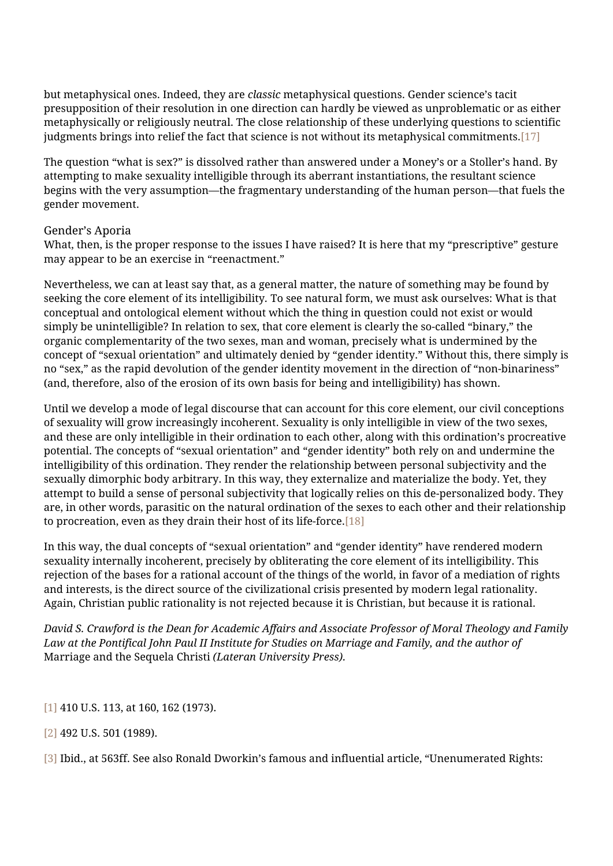but metaphysical ones. Indeed, they are *classic* metaphysical questions. Gender science's tacit presupposition of their resolution in one direction can hardly be viewed as unproblematic or as either metaphysically or religiously neutral. The close relationship of these underlying questions to scientific judgments brings into relief the fact that science is not without its metaphysical commitments.[\[17\]](#page--1-0)

The question "what is sex?" is dissolved rather than answered under a Money's or a Stoller's hand. By attempting to make sexuality intelligible through its aberrant instantiations, the resultant science begins with the very assumption—the fragmentary understanding of the human person—that fuels the gender movement.

#### Gender's Aporia

What, then, is the proper response to the issues I have raised? It is here that my "prescriptive" gesture may appear to be an exercise in "reenactment."

Nevertheless, we can at least say that, as a general matter, the nature of something may be found by seeking the core element of its intelligibility*.* To see natural form, we must ask ourselves: What is that conceptual and ontological element without which the thing in question could not exist or would simply be unintelligible? In relation to sex, that core element is clearly the so-called "binary," the organic complementarity of the two sexes, man and woman, precisely what is undermined by the concept of "sexual orientation" and ultimately denied by "gender identity." Without this, there simply is no "sex," as the rapid devolution of the gender identity movement in the direction of "non-binariness" (and, therefore, also of the erosion of its own basis for being and intelligibility) has shown.

Until we develop a mode of legal discourse that can account for this core element, our civil conceptions of sexuality will grow increasingly incoherent. Sexuality is only intelligible in view of the two sexes, and these are only intelligible in their ordination to each other, along with this ordination's procreative potential. The concepts of "sexual orientation" and "gender identity" both rely on and undermine the intelligibility of this ordination. They render the relationship between personal subjectivity and the sexually dimorphic body arbitrary. In this way, they externalize and materialize the body. Yet, they attempt to build a sense of personal subjectivity that logically relies on this de-personalized body. They are, in other words, parasitic on the natural ordination of the sexes to each other and their relationship to procreation, even as they drain their host of its life-force[.\[18\]](#page--1-0)

In this way, the dual concepts of "sexual orientation" and "gender identity" have rendered modern sexuality internally incoherent, precisely by obliterating the core element of its intelligibility. This rejection of the bases for a rational account of the things of the world, in favor of a mediation of rights and interests, is the direct source of the civilizational crisis presented by modern legal rationality. Again, Christian public rationality is not rejected because it is Christian, but because it is rational.

*David S. Crawford is the Dean for Academic Affairs and Associate Professor of Moral Theology and Family Law at the Pontifical John Paul II Institute for Studies on Marriage and Family, and the author of* Marriage and the Sequela Christi *(Lateran University Press).*

[\[1\]](#page--1-0) 410 U.S. 113, at 160, 162 (1973).

- [\[2\]](#page--1-0) 492 U.S. 501 (1989).
- [\[3\]](#page--1-0) Ibid., at 563ff. See also Ronald Dworkin's famous and influential article, "Unenumerated Rights: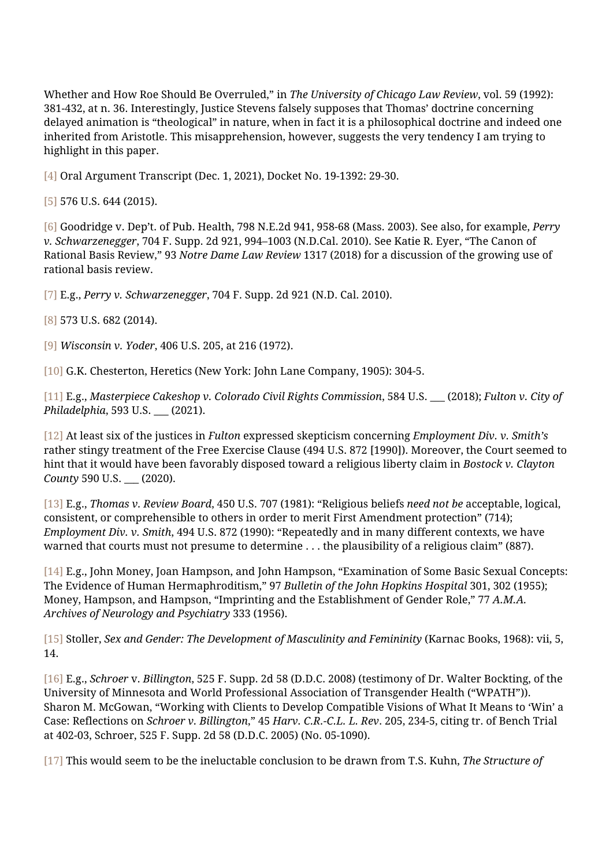Whether and How Roe Should Be Overruled," in *The University of Chicago Law Review*, vol. 59 (1992): 381-432, at n. 36. Interestingly, Justice Stevens falsely supposes that Thomas' doctrine concerning delayed animation is "theological" in nature, when in fact it is a philosophical doctrine and indeed one inherited from Aristotle. This misapprehension, however, suggests the very tendency I am trying to highlight in this paper.

[\[4\]](#page--1-0) Oral Argument Transcript (Dec. 1, 2021), Docket No. 19-1392: 29-30.

[\[5\]](#page--1-0) 576 U.S. 644 (2015).

[\[6\]](#page--1-0) Goodridge v. Dep't. of Pub. Health, 798 N.E.2d 941, 958-68 (Mass. 2003). See also, for example, *Perry v. Schwarzenegger*, 704 F. Supp. 2d 921, 994–1003 (N.D.Cal. 2010). See Katie R. Eyer, "The Canon of Rational Basis Review," 93 *Notre Dame Law Review* 1317 (2018) for a discussion of the growing use of rational basis review.

[\[7\]](#page--1-0) E.g., *Perry v. Schwarzenegger*, 704 F. Supp. 2d 921 (N.D. Cal. 2010).

[\[8\]](#page--1-0) 573 U.S. 682 (2014).

[\[9\]](#page--1-0) *Wisconsin v. Yoder*, 406 U.S. 205, at 216 (1972).

[\[10\]](#page--1-0) G.K. Chesterton, Heretics (New York: John Lane Company, 1905): 304-5.

[\[11\]](#page--1-0) E.g., *Masterpiece Cakeshop v. Colorado Civil Rights Commission*, 584 U.S. \_\_\_ (2018); *Fulton v. City of Philadelphia*, 593 U.S. \_\_\_ (2021).

[\[12\]](#page--1-0) At least six of the justices in *Fulton* expressed skepticism concerning *Employment Div. v. Smith's* rather stingy treatment of the Free Exercise Clause (494 U.S. 872 [1990]). Moreover, the Court seemed to hint that it would have been favorably disposed toward a religious liberty claim in *Bostock v. Clayton County* 590 U.S. \_\_\_ (2020).

[\[13\]](#page--1-0) E.g., *Thomas v. Review Board*, 450 U.S. 707 (1981): "Religious beliefs *need not be* acceptable, logical, consistent, or comprehensible to others in order to merit First Amendment protection" (714); *Employment Div. v. Smith*, 494 U.S. 872 (1990): "Repeatedly and in many different contexts, we have warned that courts must not presume to determine . . . the plausibility of a religious claim" (887).

[\[14\]](#page--1-0) E.g., John Money, Joan Hampson, and John Hampson, "Examination of Some Basic Sexual Concepts: The Evidence of Human Hermaphroditism," 97 *Bulletin of the John Hopkins Hospital* 301, 302 (1955); Money, Hampson, and Hampson, "Imprinting and the Establishment of Gender Role," 77 *A.M.A. Archives of Neurology and Psychiatry* 333 (1956).

[\[15\]](#page--1-0) Stoller, *Sex and Gender: The Development of Masculinity and Femininity* (Karnac Books, 1968): vii, 5, 14.

[\[16\]](#page--1-0) E.g., *Schroer* v. *Billington*, 525 F. Supp. 2d 58 (D.D.C. 2008) (testimony of Dr. Walter Bockting, of the University of Minnesota and World Professional Association of Transgender Health ("WPATH")). Sharon M. McGowan, "Working with Clients to Develop Compatible Visions of What It Means to 'Win' a Case: Reflections on *Schroer v. Billington*," 45 *Harv. C.R.-C.L. L. Rev*. 205, 234-5, citing tr. of Bench Trial at 402-03, Schroer, 525 F. Supp. 2d 58 (D.D.C. 2005) (No. 05-1090).

[\[17\]](#page--1-0) This would seem to be the ineluctable conclusion to be drawn from T.S. Kuhn, *The Structure of*